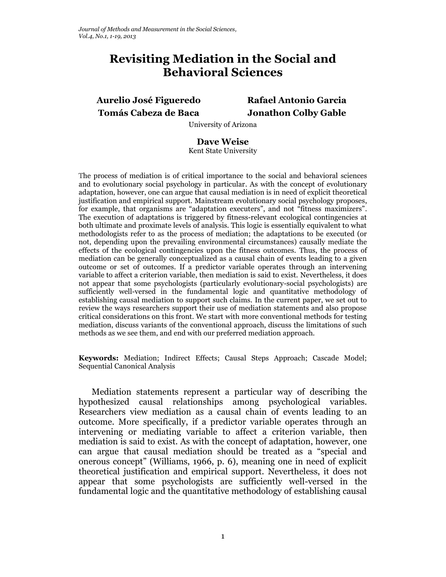# **Revisiting Mediation in the Social and Behavioral Sciences**

# **Aurelio José Figueredo Rafael Antonio Garcia Tomás Cabeza de Baca Jonathon Colby Gable**

University of Arizona

# **Dave Weise**

Kent State University

The process of mediation is of critical importance to the social and behavioral sciences and to evolutionary social psychology in particular. As with the concept of evolutionary adaptation, however, one can argue that causal mediation is in need of explicit theoretical justification and empirical support. Mainstream evolutionary social psychology proposes, for example, that organisms are "adaptation executers", and not "fitness maximizers". The execution of adaptations is triggered by fitness-relevant ecological contingencies at both ultimate and proximate levels of analysis. This logic is essentially equivalent to what methodologists refer to as the process of mediation; the adaptations to be executed (or not, depending upon the prevailing environmental circumstances) causally mediate the effects of the ecological contingencies upon the fitness outcomes. Thus, the process of mediation can be generally conceptualized as a causal chain of events leading to a given outcome or set of outcomes. If a predictor variable operates through an intervening variable to affect a criterion variable, then mediation is said to exist. Nevertheless, it does not appear that some psychologists (particularly evolutionary-social psychologists) are sufficiently well-versed in the fundamental logic and quantitative methodology of establishing causal mediation to support such claims. In the current paper, we set out to review the ways researchers support their use of mediation statements and also propose critical considerations on this front. We start with more conventional methods for testing mediation, discuss variants of the conventional approach, discuss the limitations of such methods as we see them, and end with our preferred mediation approach.

**Keywords:** Mediation; Indirect Effects; Causal Steps Approach; Cascade Model; Sequential Canonical Analysis

Mediation statements represent a particular way of describing the hypothesized causal relationships among psychological variables. Researchers view mediation as a causal chain of events leading to an outcome. More specifically, if a predictor variable operates through an intervening or mediating variable to affect a criterion variable, then mediation is said to exist. As with the concept of adaptation, however, one can argue that causal mediation should be treated as a "special and onerous concept" (Williams, 1966, p. 6), meaning one in need of explicit theoretical justification and empirical support. Nevertheless, it does not appear that some psychologists are sufficiently well-versed in the fundamental logic and the quantitative methodology of establishing causal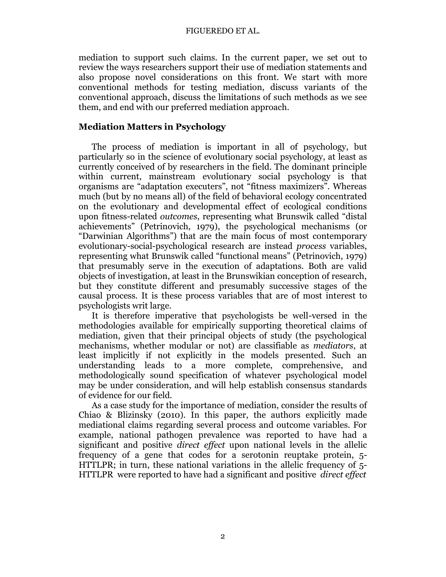mediation to support such claims. In the current paper, we set out to review the ways researchers support their use of mediation statements and also propose novel considerations on this front. We start with more conventional methods for testing mediation, discuss variants of the conventional approach, discuss the limitations of such methods as we see them, and end with our preferred mediation approach.

# **Mediation Matters in Psychology**

The process of mediation is important in all of psychology, but particularly so in the science of evolutionary social psychology, at least as currently conceived of by researchers in the field. The dominant principle within current, mainstream evolutionary social psychology is that organisms are "adaptation executers", not "fitness maximizers". Whereas much (but by no means all) of the field of behavioral ecology concentrated on the evolutionary and developmental effect of ecological conditions upon fitness-related *outcomes*, representing what Brunswik called "distal achievements" (Petrinovich, 1979), the psychological mechanisms (or "Darwinian Algorithms") that are the main focus of most contemporary evolutionary-social-psychological research are instead *process* variables, representing what Brunswik called "functional means" (Petrinovich, 1979) that presumably serve in the execution of adaptations. Both are valid objects of investigation, at least in the Brunswikian conception of research, but they constitute different and presumably successive stages of the causal process. It is these process variables that are of most interest to psychologists writ large.

It is therefore imperative that psychologists be well-versed in the methodologies available for empirically supporting theoretical claims of mediation, given that their principal objects of study (the psychological mechanisms, whether modular or not) are classifiable as *mediators*, at least implicitly if not explicitly in the models presented. Such an understanding leads to a more complete, comprehensive, and methodologically sound specification of whatever psychological model may be under consideration, and will help establish consensus standards of evidence for our field.

As a case study for the importance of mediation, consider the results of Chiao & Blizinsky (2010). In this paper, the authors explicitly made mediational claims regarding several process and outcome variables. For example, national pathogen prevalence was reported to have had a significant and positive *direct effect* upon national levels in the allelic frequency of a gene that codes for a serotonin reuptake protein, 5- HTTLPR; in turn, these national variations in the allelic frequency of 5- HTTLPR were reported to have had a significant and positive *direct effect*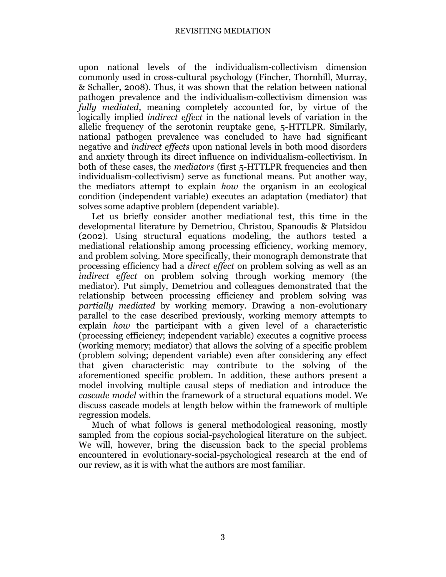upon national levels of the individualism-collectivism dimension commonly used in cross-cultural psychology (Fincher, Thornhill, Murray, & Schaller, 2008). Thus, it was shown that the relation between national pathogen prevalence and the individualism-collectivism dimension was *fully mediated*, meaning completely accounted for, by virtue of the logically implied *indirect effect* in the national levels of variation in the allelic frequency of the serotonin reuptake gene, 5-HTTLPR. Similarly, national pathogen prevalence was concluded to have had significant negative and *indirect effects* upon national levels in both mood disorders and anxiety through its direct influence on individualism-collectivism. In both of these cases, the *mediators* (first 5-HTTLPR frequencies and then individualism-collectivism) serve as functional means. Put another way, the mediators attempt to explain *how* the organism in an ecological condition (independent variable) executes an adaptation (mediator) that solves some adaptive problem (dependent variable).

Let us briefly consider another mediational test, this time in the developmental literature by Demetriou, Christou, Spanoudis & Platsidou (2002). Using structural equations modeling, the authors tested a mediational relationship among processing efficiency, working memory, and problem solving. More specifically, their monograph demonstrate that processing efficiency had a *direct effect* on problem solving as well as an *indirect effect* on problem solving through working memory (the mediator). Put simply, Demetriou and colleagues demonstrated that the relationship between processing efficiency and problem solving was *partially mediated* by working memory. Drawing a non-evolutionary parallel to the case described previously, working memory attempts to explain *how* the participant with a given level of a characteristic (processing efficiency; independent variable) executes a cognitive process (working memory; mediator) that allows the solving of a specific problem (problem solving; dependent variable) even after considering any effect that given characteristic may contribute to the solving of the aforementioned specific problem. In addition, these authors present a model involving multiple causal steps of mediation and introduce the *cascade model* within the framework of a structural equations model. We discuss cascade models at length below within the framework of multiple regression models.

Much of what follows is general methodological reasoning, mostly sampled from the copious social-psychological literature on the subject. We will, however, bring the discussion back to the special problems encountered in evolutionary-social-psychological research at the end of our review, as it is with what the authors are most familiar.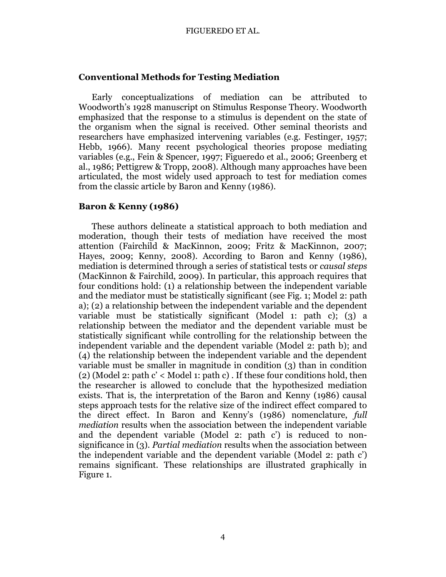# **Conventional Methods for Testing Mediation**

Early conceptualizations of mediation can be attributed to Woodworth's 1928 manuscript on Stimulus Response Theory. Woodworth emphasized that the response to a stimulus is dependent on the state of the organism when the signal is received. Other seminal theorists and researchers have emphasized intervening variables (e.g. Festinger, 1957; Hebb, 1966). Many recent psychological theories propose mediating variables (e.g., Fein & Spencer, 1997; Figueredo et al., 2006; Greenberg et al., 1986; Pettigrew & Tropp, 2008). Although many approaches have been articulated, the most widely used approach to test for mediation comes from the classic article by Baron and Kenny (1986).

# **Baron & Kenny (1986)**

These authors delineate a statistical approach to both mediation and moderation, though their tests of mediation have received the most attention (Fairchild & MacKinnon, 2009; Fritz & MacKinnon, 2007; Hayes, 2009; Kenny, 2008). According to Baron and Kenny (1986), mediation is determined through a series of statistical tests or *causal steps* (MacKinnon & Fairchild, 2009). In particular, this approach requires that four conditions hold: (1) a relationship between the independent variable and the mediator must be statistically significant (see Fig. 1; Model 2: path a); (2) a relationship between the independent variable and the dependent variable must be statistically significant (Model 1: path c); (3) a relationship between the mediator and the dependent variable must be statistically significant while controlling for the relationship between the independent variable and the dependent variable (Model 2: path b); and (4) the relationship between the independent variable and the dependent variable must be smaller in magnitude in condition (3) than in condition (2) (Model 2: path c' < Model 1: path c) . If these four conditions hold, then the researcher is allowed to conclude that the hypothesized mediation exists. That is, the interpretation of the Baron and Kenny (1986) causal steps approach tests for the relative size of the indirect effect compared to the direct effect. In Baron and Kenny's (1986) nomenclature, *full mediation* results when the association between the independent variable and the dependent variable (Model 2: path c') is reduced to nonsignificance in (3). *Partial mediation* results when the association between the independent variable and the dependent variable (Model 2: path c') remains significant. These relationships are illustrated graphically in Figure 1.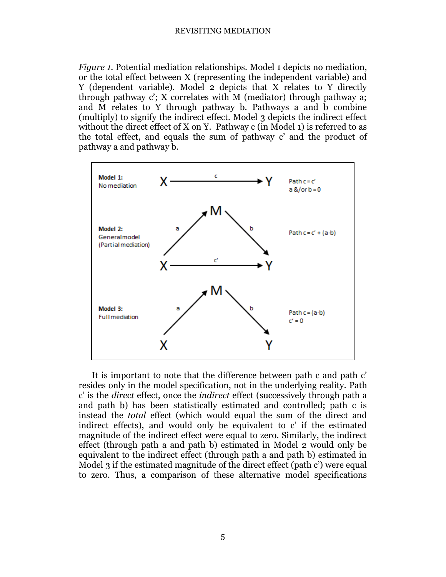*Figure 1.* Potential mediation relationships. Model 1 depicts no mediation, or the total effect between X (representing the independent variable) and Y (dependent variable). Model 2 depicts that X relates to Y directly through pathway c'; X correlates with M (mediator) through pathway a; and M relates to Y through pathway b. Pathways a and b combine (multiply) to signify the indirect effect. Model 3 depicts the indirect effect without the direct effect of X on Y. Pathway c (in Model 1) is referred to as the total effect, and equals the sum of pathway c' and the product of pathway a and pathway b.



It is important to note that the difference between path c and path c' resides only in the model specification, not in the underlying reality. Path c' is the *direct* effect, once the *indirect* effect (successively through path a and path b) has been statistically estimated and controlled; path c is instead the *total* effect (which would equal the sum of the direct and indirect effects), and would only be equivalent to c' if the estimated magnitude of the indirect effect were equal to zero. Similarly, the indirect effect (through path a and path b) estimated in Model 2 would only be equivalent to the indirect effect (through path a and path b) estimated in Model 3 if the estimated magnitude of the direct effect (path c') were equal to zero. Thus, a comparison of these alternative model specifications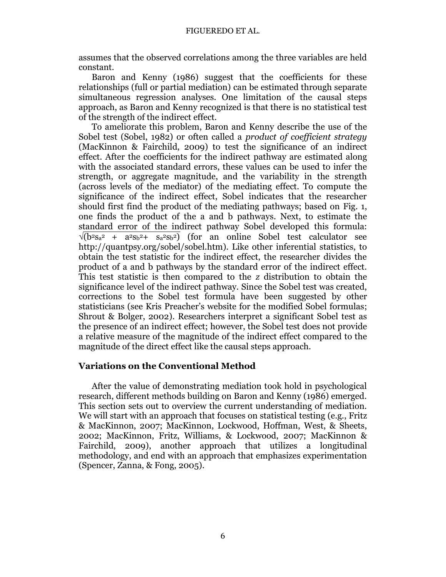assumes that the observed correlations among the three variables are held constant.

Baron and Kenny (1986) suggest that the coefficients for these relationships (full or partial mediation) can be estimated through separate simultaneous regression analyses. One limitation of the causal steps approach, as Baron and Kenny recognized is that there is no statistical test of the strength of the indirect effect.

To ameliorate this problem, Baron and Kenny describe the use of the Sobel test (Sobel, 1982) or often called a *product of coefficient strategy* (MacKinnon & Fairchild, 2009) to test the significance of an indirect effect. After the coefficients for the indirect pathway are estimated along with the associated standard errors, these values can be used to infer the strength, or aggregate magnitude, and the variability in the strength (across levels of the mediator) of the mediating effect. To compute the significance of the indirect effect, Sobel indicates that the researcher should first find the product of the mediating pathways; based on Fig. 1, one finds the product of the a and b pathways. Next, to estimate the standard error of the indirect pathway Sobel developed this formula:  $\sqrt{(b^2S_a^2 + a^2S_b^2 + S_a^2S_b^2)}$  (for an online Sobel test calculator see http://quantpsy.org/sobel/sobel.htm). Like other inferential statistics, to obtain the test statistic for the indirect effect, the researcher divides the product of a and b pathways by the standard error of the indirect effect. This test statistic is then compared to the *z* distribution to obtain the significance level of the indirect pathway. Since the Sobel test was created, corrections to the Sobel test formula have been suggested by other statisticians (see Kris Preacher's website for the modified Sobel formulas; Shrout & Bolger, 2002). Researchers interpret a significant Sobel test as the presence of an indirect effect; however, the Sobel test does not provide a relative measure of the magnitude of the indirect effect compared to the magnitude of the direct effect like the causal steps approach.

# **Variations on the Conventional Method**

After the value of demonstrating mediation took hold in psychological research, different methods building on Baron and Kenny (1986) emerged. This section sets out to overview the current understanding of mediation. We will start with an approach that focuses on statistical testing (e.g., Fritz & MacKinnon, 2007; MacKinnon, Lockwood, Hoffman, West, & Sheets, 2002; MacKinnon, Fritz, Williams, & Lockwood, 2007; MacKinnon & Fairchild, 2009), another approach that utilizes a longitudinal methodology, and end with an approach that emphasizes experimentation (Spencer, Zanna, & Fong, 2005).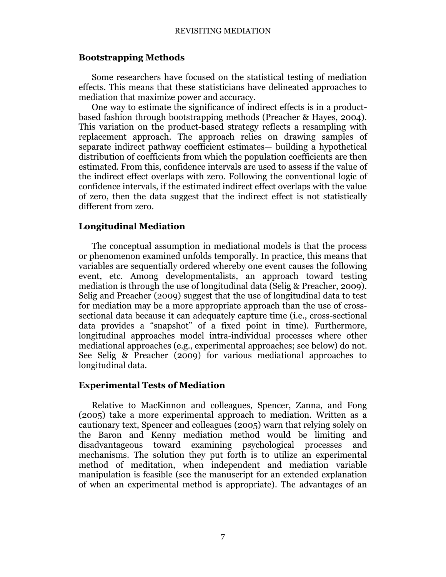# **Bootstrapping Methods**

Some researchers have focused on the statistical testing of mediation effects. This means that these statisticians have delineated approaches to mediation that maximize power and accuracy.

One way to estimate the significance of indirect effects is in a productbased fashion through bootstrapping methods (Preacher & Hayes, 2004). This variation on the product-based strategy reflects a resampling with replacement approach. The approach relies on drawing samples of separate indirect pathway coefficient estimates— building a hypothetical distribution of coefficients from which the population coefficients are then estimated. From this, confidence intervals are used to assess if the value of the indirect effect overlaps with zero. Following the conventional logic of confidence intervals, if the estimated indirect effect overlaps with the value of zero, then the data suggest that the indirect effect is not statistically different from zero.

# **Longitudinal Mediation**

The conceptual assumption in mediational models is that the process or phenomenon examined unfolds temporally. In practice, this means that variables are sequentially ordered whereby one event causes the following event, etc. Among developmentalists, an approach toward testing mediation is through the use of longitudinal data (Selig & Preacher, 2009). Selig and Preacher (2009) suggest that the use of longitudinal data to test for mediation may be a more appropriate approach than the use of crosssectional data because it can adequately capture time (i.e., cross-sectional data provides a "snapshot" of a fixed point in time). Furthermore, longitudinal approaches model intra-individual processes where other mediational approaches (e.g., experimental approaches; see below) do not. See Selig & Preacher (2009) for various mediational approaches to longitudinal data.

# **Experimental Tests of Mediation**

Relative to MacKinnon and colleagues, Spencer, Zanna, and Fong (2005) take a more experimental approach to mediation. Written as a cautionary text, Spencer and colleagues (2005) warn that relying solely on the Baron and Kenny mediation method would be limiting and disadvantageous toward examining psychological processes and mechanisms. The solution they put forth is to utilize an experimental method of meditation, when independent and mediation variable manipulation is feasible (see the manuscript for an extended explanation of when an experimental method is appropriate). The advantages of an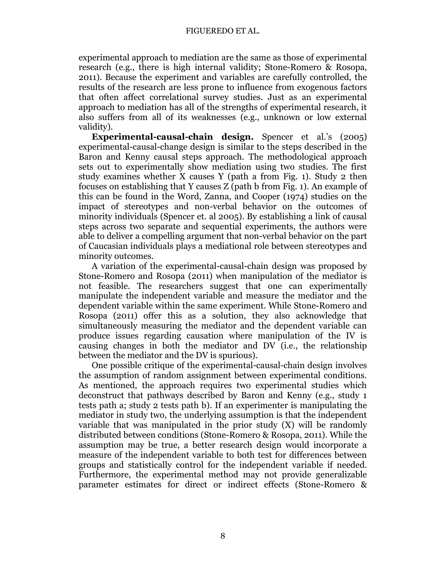experimental approach to mediation are the same as those of experimental research (e.g., there is high internal validity; Stone-Romero & Rosopa, 2011). Because the experiment and variables are carefully controlled, the results of the research are less prone to influence from exogenous factors that often affect correlational survey studies. Just as an experimental approach to mediation has all of the strengths of experimental research, it also suffers from all of its weaknesses (e.g., unknown or low external validity).

**Experimental-causal-chain design.** Spencer et al.'s (2005) experimental-causal-change design is similar to the steps described in the Baron and Kenny causal steps approach. The methodological approach sets out to experimentally show mediation using two studies. The first study examines whether X causes Y (path a from Fig. 1). Study 2 then focuses on establishing that Y causes Z (path b from Fig. 1). An example of this can be found in the Word, Zanna, and Cooper (1974) studies on the impact of stereotypes and non-verbal behavior on the outcomes of minority individuals (Spencer et. al 2005). By establishing a link of causal steps across two separate and sequential experiments, the authors were able to deliver a compelling argument that non-verbal behavior on the part of Caucasian individuals plays a mediational role between stereotypes and minority outcomes.

A variation of the experimental-causal-chain design was proposed by Stone-Romero and Rosopa (2011) when manipulation of the mediator is not feasible. The researchers suggest that one can experimentally manipulate the independent variable and measure the mediator and the dependent variable within the same experiment. While Stone-Romero and Rosopa (2011) offer this as a solution, they also acknowledge that simultaneously measuring the mediator and the dependent variable can produce issues regarding causation where manipulation of the IV is causing changes in both the mediator and DV (i.e., the relationship between the mediator and the DV is spurious).

One possible critique of the experimental-causal-chain design involves the assumption of random assignment between experimental conditions. As mentioned, the approach requires two experimental studies which deconstruct that pathways described by Baron and Kenny (e.g., study 1 tests path a; study 2 tests path b). If an experimenter is manipulating the mediator in study two, the underlying assumption is that the independent variable that was manipulated in the prior study (X) will be randomly distributed between conditions (Stone-Romero & Rosopa, 2011). While the assumption may be true, a better research design would incorporate a measure of the independent variable to both test for differences between groups and statistically control for the independent variable if needed. Furthermore, the experimental method may not provide generalizable parameter estimates for direct or indirect effects (Stone-Romero &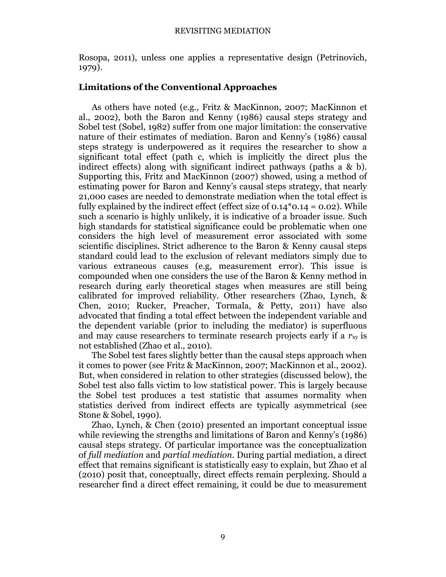Rosopa, 2011), unless one applies a representative design (Petrinovich, 1979).

# **Limitations of the Conventional Approaches**

As others have noted (e.g., Fritz & MacKinnon, 2007; MacKinnon et al., 2002), both the Baron and Kenny (1986) causal steps strategy and Sobel test (Sobel, 1982) suffer from one major limitation: the conservative nature of their estimates of mediation. Baron and Kenny's (1986) causal steps strategy is underpowered as it requires the researcher to show a significant total effect (path c, which is implicitly the direct plus the indirect effects) along with significant indirect pathways (paths a & b). Supporting this, Fritz and MacKinnon (2007) showed, using a method of estimating power for Baron and Kenny's causal steps strategy, that nearly 21,000 cases are needed to demonstrate mediation when the total effect is fully explained by the indirect effect (effect size of  $0.14*0.14 = 0.02$ ). While such a scenario is highly unlikely, it is indicative of a broader issue. Such high standards for statistical significance could be problematic when one considers the high level of measurement error associated with some scientific disciplines. Strict adherence to the Baron & Kenny causal steps standard could lead to the exclusion of relevant mediators simply due to various extraneous causes (e.g, measurement error). This issue is compounded when one considers the use of the Baron & Kenny method in research during early theoretical stages when measures are still being calibrated for improved reliability. Other researchers (Zhao, Lynch, & Chen, 2010; Rucker, Preacher, Tormala, & Petty, 2011) have also advocated that finding a total effect between the independent variable and the dependent variable (prior to including the mediator) is superfluous and may cause researchers to terminate research projects early if a  $r_{xy}$  is not established (Zhao et al., 2010).

The Sobel test fares slightly better than the causal steps approach when it comes to power (see Fritz & MacKinnon, 2007; MacKinnon et al., 2002). But, when considered in relation to other strategies (discussed below), the Sobel test also falls victim to low statistical power. This is largely because the Sobel test produces a test statistic that assumes normality when statistics derived from indirect effects are typically asymmetrical (see Stone & Sobel, 1990).

Zhao, Lynch, & Chen (2010) presented an important conceptual issue while reviewing the strengths and limitations of Baron and Kenny's (1986) causal steps strategy. Of particular importance was the conceptualization of *full mediation* and *partial mediation*. During partial mediation, a direct effect that remains significant is statistically easy to explain, but Zhao et al (2010) posit that, conceptually, direct effects remain perplexing. Should a researcher find a direct effect remaining, it could be due to measurement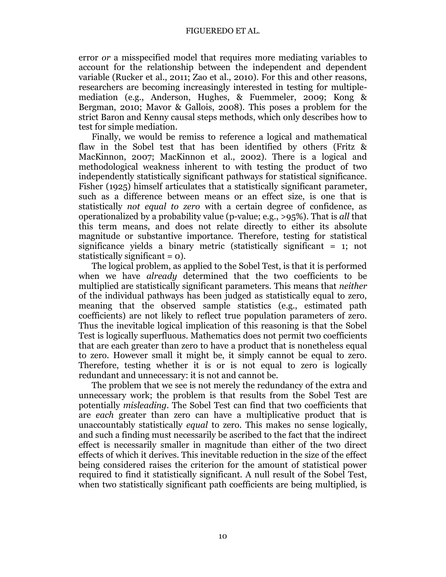error *or* a misspecified model that requires more mediating variables to account for the relationship between the independent and dependent variable (Rucker et al., 2011; Zao et al., 2010). For this and other reasons, researchers are becoming increasingly interested in testing for multiplemediation (e.g., Anderson, Hughes, & Fuemmeler, 2009; Kong & Bergman, 2010; Mavor & Gallois, 2008). This poses a problem for the strict Baron and Kenny causal steps methods, which only describes how to test for simple mediation.

Finally, we would be remiss to reference a logical and mathematical flaw in the Sobel test that has been identified by others (Fritz & MacKinnon, 2007; MacKinnon et al., 2002). There is a logical and methodological weakness inherent to with testing the product of two independently statistically significant pathways for statistical significance. Fisher (1925) himself articulates that a statistically significant parameter, such as a difference between means or an effect size, is one that is statistically *not equal to zero* with a certain degree of confidence, as operationalized by a probability value (p-value; e.g., >95%). That is *all* that this term means, and does not relate directly to either its absolute magnitude or substantive importance. Therefore, testing for statistical significance yields a binary metric (statistically significant = 1; not statistically significant = 0).

The logical problem, as applied to the Sobel Test, is that it is performed when we have *already* determined that the two coefficients to be multiplied are statistically significant parameters. This means that *neither* of the individual pathways has been judged as statistically equal to zero, meaning that the observed sample statistics (e.g., estimated path coefficients) are not likely to reflect true population parameters of zero. Thus the inevitable logical implication of this reasoning is that the Sobel Test is logically superfluous. Mathematics does not permit two coefficients that are each greater than zero to have a product that is nonetheless equal to zero. However small it might be, it simply cannot be equal to zero. Therefore, testing whether it is or is not equal to zero is logically redundant and unnecessary: it is not and cannot be.

The problem that we see is not merely the redundancy of the extra and unnecessary work; the problem is that results from the Sobel Test are potentially *misleading*. The Sobel Test can find that two coefficients that are *each* greater than zero can have a multiplicative product that is unaccountably statistically *equal* to zero. This makes no sense logically, and such a finding must necessarily be ascribed to the fact that the indirect effect is necessarily smaller in magnitude than either of the two direct effects of which it derives. This inevitable reduction in the size of the effect being considered raises the criterion for the amount of statistical power required to find it statistically significant. A null result of the Sobel Test, when two statistically significant path coefficients are being multiplied, is

10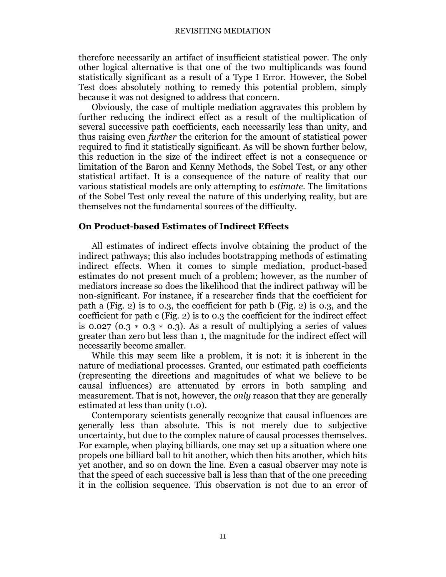therefore necessarily an artifact of insufficient statistical power. The only other logical alternative is that one of the two multiplicands was found statistically significant as a result of a Type I Error. However, the Sobel Test does absolutely nothing to remedy this potential problem, simply because it was not designed to address that concern.

Obviously, the case of multiple mediation aggravates this problem by further reducing the indirect effect as a result of the multiplication of several successive path coefficients, each necessarily less than unity, and thus raising even *further* the criterion for the amount of statistical power required to find it statistically significant. As will be shown further below, this reduction in the size of the indirect effect is not a consequence or limitation of the Baron and Kenny Methods, the Sobel Test, or any other statistical artifact. It is a consequence of the nature of reality that our various statistical models are only attempting to *estimate*. The limitations of the Sobel Test only reveal the nature of this underlying reality, but are themselves not the fundamental sources of the difficulty.

# **On Product-based Estimates of Indirect Effects**

All estimates of indirect effects involve obtaining the product of the indirect pathways; this also includes bootstrapping methods of estimating indirect effects. When it comes to simple mediation, product-based estimates do not present much of a problem; however, as the number of mediators increase so does the likelihood that the indirect pathway will be non-significant. For instance, if a researcher finds that the coefficient for path a (Fig. 2) is to 0.3, the coefficient for path b (Fig. 2) is 0.3, and the coefficient for path c (Fig. 2) is to 0.3 the coefficient for the indirect effect is 0.027 (0.3  $*$  0.3  $*$  0.3). As a result of multiplying a series of values greater than zero but less than 1, the magnitude for the indirect effect will necessarily become smaller.

While this may seem like a problem, it is not: it is inherent in the nature of mediational processes. Granted, our estimated path coefficients (representing the directions and magnitudes of what we believe to be causal influences) are attenuated by errors in both sampling and measurement. That is not, however, the *only* reason that they are generally estimated at less than unity (1.0).

Contemporary scientists generally recognize that causal influences are generally less than absolute. This is not merely due to subjective uncertainty, but due to the complex nature of causal processes themselves. For example, when playing billiards, one may set up a situation where one propels one billiard ball to hit another, which then hits another, which hits yet another, and so on down the line. Even a casual observer may note is that the speed of each successive ball is less than that of the one preceding it in the collision sequence. This observation is not due to an error of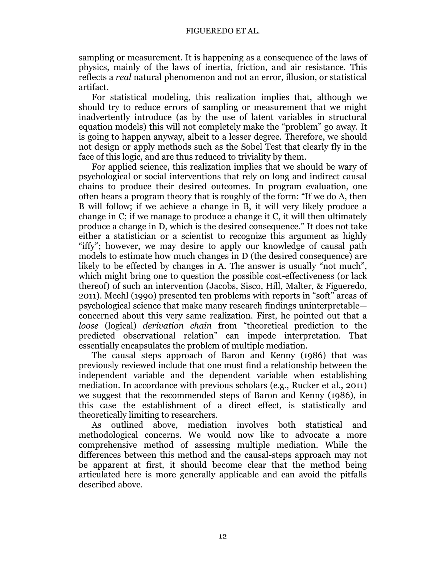sampling or measurement. It is happening as a consequence of the laws of physics, mainly of the laws of inertia, friction, and air resistance. This reflects a *real* natural phenomenon and not an error, illusion, or statistical artifact.

For statistical modeling, this realization implies that, although we should try to reduce errors of sampling or measurement that we might inadvertently introduce (as by the use of latent variables in structural equation models) this will not completely make the "problem" go away. It is going to happen anyway, albeit to a lesser degree. Therefore, we should not design or apply methods such as the Sobel Test that clearly fly in the face of this logic, and are thus reduced to triviality by them.

For applied science, this realization implies that we should be wary of psychological or social interventions that rely on long and indirect causal chains to produce their desired outcomes. In program evaluation, one often hears a program theory that is roughly of the form: "If we do A, then B will follow; if we achieve a change in B, it will very likely produce a change in C; if we manage to produce a change it C, it will then ultimately produce a change in D, which is the desired consequence." It does not take either a statistician or a scientist to recognize this argument as highly "iffy"; however, we may desire to apply our knowledge of causal path models to estimate how much changes in D (the desired consequence) are likely to be effected by changes in A. The answer is usually "not much", which might bring one to question the possible cost-effectiveness (or lack thereof) of such an intervention (Jacobs, Sisco, Hill, Malter, & Figueredo, 2011). Meehl (1990) presented ten problems with reports in "soft" areas of psychological science that make many research findings uninterpretable concerned about this very same realization. First, he pointed out that a *loose* (logical) *derivation chain* from "theoretical prediction to the predicted observational relation" can impede interpretation. That essentially encapsulates the problem of multiple mediation.

The causal steps approach of Baron and Kenny (1986) that was previously reviewed include that one must find a relationship between the independent variable and the dependent variable when establishing mediation. In accordance with previous scholars (e.g., Rucker et al., 2011) we suggest that the recommended steps of Baron and Kenny (1986), in this case the establishment of a direct effect, is statistically and theoretically limiting to researchers.

As outlined above, mediation involves both statistical and methodological concerns. We would now like to advocate a more comprehensive method of assessing multiple mediation. While the differences between this method and the causal-steps approach may not be apparent at first, it should become clear that the method being articulated here is more generally applicable and can avoid the pitfalls described above.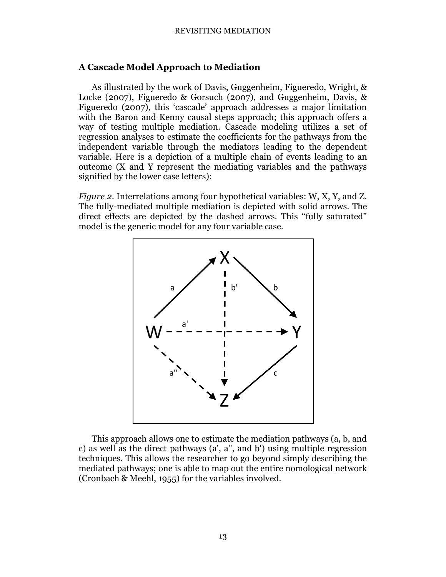# **A Cascade Model Approach to Mediation**

As illustrated by the work of Davis, Guggenheim, Figueredo, Wright, & Locke (2007), Figueredo & Gorsuch (2007), and Guggenheim, Davis, & Figueredo (2007), this 'cascade' approach addresses a major limitation with the Baron and Kenny causal steps approach; this approach offers a way of testing multiple mediation. Cascade modeling utilizes a set of regression analyses to estimate the coefficients for the pathways from the independent variable through the mediators leading to the dependent variable. Here is a depiction of a multiple chain of events leading to an outcome (X and Y represent the mediating variables and the pathways signified by the lower case letters):

*Figure 2*. Interrelations among four hypothetical variables: W, X, Y, and Z. The fully-mediated multiple mediation is depicted with solid arrows. The direct effects are depicted by the dashed arrows. This "fully saturated" model is the generic model for any four variable case.



This approach allows one to estimate the mediation pathways (a, b, and c) as well as the direct pathways (a', a'', and b') using multiple regression techniques. This allows the researcher to go beyond simply describing the mediated pathways; one is able to map out the entire nomological network (Cronbach & Meehl, 1955) for the variables involved.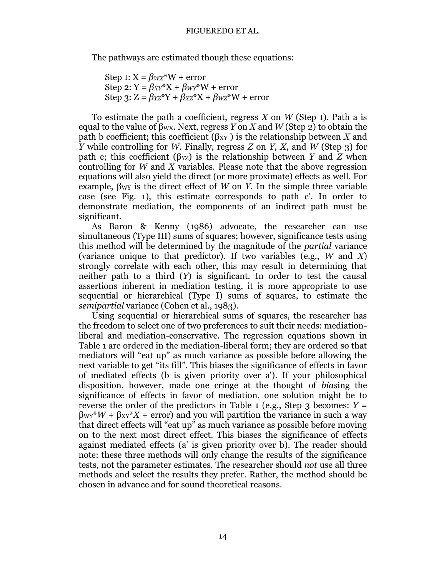The pathways are estimated though these equations:

Step 1:  $X = \beta_{WX} * W + error$ Step 2:  $Y = \beta_{XY} X + \beta_{WY} W +$  error Step 3:  $Z = \beta_{YZ}^*Y + \beta_{XZ}^*X + \beta_{WZ}^*W$  + error

To estimate the path a coefficient, regress *X* on *W* (Step 1). Path a is equal to the value of  $\beta_{\text{WX}}$ . Next, regress *Y* on *X* and *W* (Step 2) to obtain the path b coefficient; this coefficient  $(\beta_{XY})$  is the relationship between X and *Y* while controlling for *W*. Finally, regress *Z* on *Y*, *X*, and *W* (Step 3) for path c; this coefficient ( $\beta$ <sub>YZ</sub>) is the relationship between *Y* and *Z* when controlling for *W* and *X* variables. Please note that the above regression equations will also yield the direct (or more proximate) effects as well. For example,  $\beta_{\text{WY}}$  is the direct effect of *W* on *Y*. In the simple three variable case (see Fig. 1), this estimate corresponds to path c'. In order to demonstrate mediation, the components of an indirect path must be significant.

As Baron & Kenny (1986) advocate, the researcher can use simultaneous (Type III) sums of squares; however, significance tests using this method will be determined by the magnitude of the *partial* variance (variance unique to that predictor). If two variables (e.g., *W* and *X*) strongly correlate with each other, this may result in determining that neither path to a third (*Y*) is significant. In order to test the causal assertions inherent in mediation testing, it is more appropriate to use sequential or hierarchical (Type I) sums of squares, to estimate the *semipartial* variance (Cohen et al., 1983).

Using sequential or hierarchical sums of squares, the researcher has the freedom to select one of two preferences to suit their needs: mediationliberal and mediation-conservative. The regression equations shown in Table 1 are ordered in the mediation-liberal form; they are ordered so that mediators will "eat up" as much variance as possible before allowing the next variable to get "its fill". This biases the significance of effects in favor of mediated effects (b is given priority over a'). If your philosophical disposition, however, made one cringe at the thought of *bias*ing the significance of effects in favor of mediation, one solution might be to reverse the order of the predictors in Table 1 (e.g., Step 3 becomes:  $Y =$  $β<sub>WY</sub><sup>*</sup>W + β<sub>XY</sub><sup>*</sup>X + error)$  and you will partition the variance in such a way that direct effects will "eat up" as much variance as possible before moving on to the next most direct effect. This biases the significance of effects against mediated effects (a' is given priority over b). The reader should note: these three methods will only change the results of the significance tests, not the parameter estimates. The researcher should *not* use all three methods and select the results they prefer. Rather, the method should be chosen in advance and for sound theoretical reasons.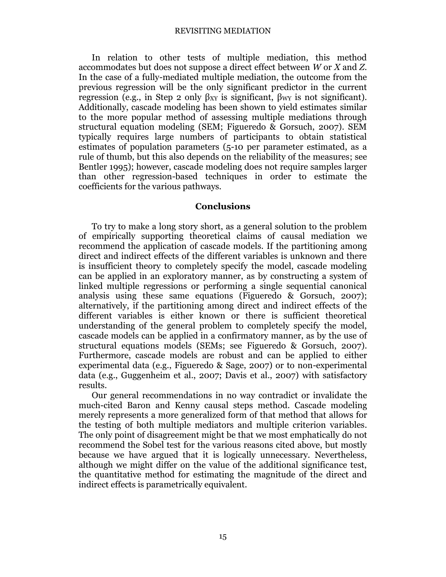In relation to other tests of multiple mediation, this method accommodates but does not suppose a direct effect between *W* or *X* and *Z*. In the case of a fully-mediated multiple mediation, the outcome from the previous regression will be the only significant predictor in the current regression (e.g., in Step 2 only  $β<sub>XY</sub>$  is significant,  $β<sub>WY</sub>$  is not significant). Additionally, cascade modeling has been shown to yield estimates similar to the more popular method of assessing multiple mediations through structural equation modeling (SEM; Figueredo & Gorsuch, 2007). SEM typically requires large numbers of participants to obtain statistical estimates of population parameters (5-10 per parameter estimated, as a rule of thumb, but this also depends on the reliability of the measures; see Bentler 1995); however, cascade modeling does not require samples larger than other regression-based techniques in order to estimate the coefficients for the various pathways.

#### **Conclusions**

To try to make a long story short, as a general solution to the problem of empirically supporting theoretical claims of causal mediation we recommend the application of cascade models. If the partitioning among direct and indirect effects of the different variables is unknown and there is insufficient theory to completely specify the model, cascade modeling can be applied in an exploratory manner, as by constructing a system of linked multiple regressions or performing a single sequential canonical analysis using these same equations (Figueredo & Gorsuch, 2007); alternatively, if the partitioning among direct and indirect effects of the different variables is either known or there is sufficient theoretical understanding of the general problem to completely specify the model, cascade models can be applied in a confirmatory manner, as by the use of structural equations models (SEMs; see Figueredo & Gorsuch, 2007). Furthermore, cascade models are robust and can be applied to either experimental data (e.g., Figueredo & Sage, 2007) or to non-experimental data (e.g., Guggenheim et al., 2007; Davis et al., 2007) with satisfactory results.

Our general recommendations in no way contradict or invalidate the much-cited Baron and Kenny causal steps method. Cascade modeling merely represents a more generalized form of that method that allows for the testing of both multiple mediators and multiple criterion variables. The only point of disagreement might be that we most emphatically do not recommend the Sobel test for the various reasons cited above, but mostly because we have argued that it is logically unnecessary. Nevertheless, although we might differ on the value of the additional significance test, the quantitative method for estimating the magnitude of the direct and indirect effects is parametrically equivalent.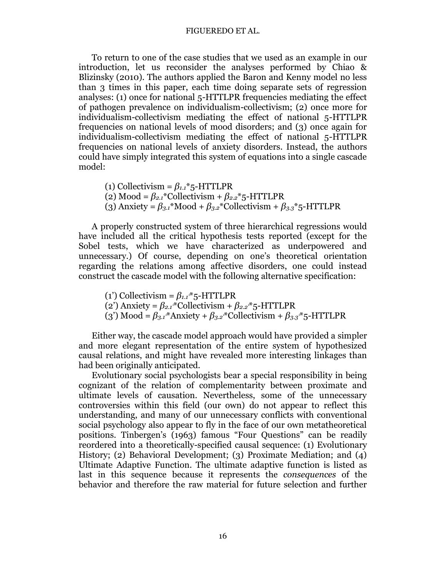#### FIGUEREDO ET AL.

To return to one of the case studies that we used as an example in our introduction, let us reconsider the analyses performed by Chiao & Blizinsky (2010). The authors applied the Baron and Kenny model no less than 3 times in this paper, each time doing separate sets of regression analyses: (1) once for national 5-HTTLPR frequencies mediating the effect of pathogen prevalence on individualism-collectivism; (2) once more for individualism-collectivism mediating the effect of national 5-HTTLPR frequencies on national levels of mood disorders; and (3) once again for individualism-collectivism mediating the effect of national 5-HTTLPR frequencies on national levels of anxiety disorders. Instead, the authors could have simply integrated this system of equations into a single cascade model:

(1) Collectivism =  $\beta_{1.1}$ <sup>\*</sup>5-HTTLPR (2)  $\text{Mod} = \beta_{2.1}^* \text{Collection} + \beta_{2.2}^* \text{5-HTTLPR}$ (3) Anxiety =  $\beta_{3.1}$ <sup>\*</sup>Mood +  $\beta_{3.2}$ <sup>\*</sup>Collectivism +  $\beta_{3.3}$ <sup>\*</sup>5-HTTLPR

A properly constructed system of three hierarchical regressions would have included all the critical hypothesis tests reported (except for the Sobel tests, which we have characterized as underpowered and unnecessary.) Of course, depending on one's theoretical orientation regarding the relations among affective disorders, one could instead construct the cascade model with the following alternative specification:

(1') Collectivism =  $\beta_{1.1}$ <sup>\*</sup><sub>5</sub>-HTTLPR (2<sup>'</sup>) Anxiety =  $\beta_{2.1}$ <sup>\*</sup>Collectivism +  $\beta_{2.2}$ <sup>\*</sup><sub>5</sub>-HTTLPR (3') Mood = *β3.1'*\*Anxiety + *β3.2'*\*Collectivism + *β3.3'*\*5-HTTLPR

Either way, the cascade model approach would have provided a simpler and more elegant representation of the entire system of hypothesized causal relations, and might have revealed more interesting linkages than had been originally anticipated.

Evolutionary social psychologists bear a special responsibility in being cognizant of the relation of complementarity between proximate and ultimate levels of causation. Nevertheless, some of the unnecessary controversies within this field (our own) do not appear to reflect this understanding, and many of our unnecessary conflicts with conventional social psychology also appear to fly in the face of our own metatheoretical positions. Tinbergen's (1963) famous "Four Questions" can be readily reordered into a theoretically-specified causal sequence: (1) Evolutionary History; (2) Behavioral Development; (3) Proximate Mediation; and (4) Ultimate Adaptive Function. The ultimate adaptive function is listed as last in this sequence because it represents the *consequences* of the behavior and therefore the raw material for future selection and further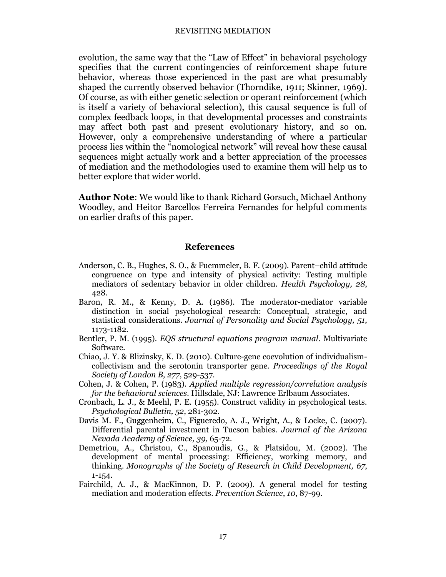evolution, the same way that the "Law of Effect" in behavioral psychology specifies that the current contingencies of reinforcement shape future behavior, whereas those experienced in the past are what presumably shaped the currently observed behavior (Thorndike, 1911; Skinner, 1969). Of course, as with either genetic selection or operant reinforcement (which is itself a variety of behavioral selection), this causal sequence is full of complex feedback loops, in that developmental processes and constraints may affect both past and present evolutionary history, and so on. However, only a comprehensive understanding of where a particular process lies within the "nomological network" will reveal how these causal sequences might actually work and a better appreciation of the processes of mediation and the methodologies used to examine them will help us to better explore that wider world.

**Author Note**: We would like to thank Richard Gorsuch, Michael Anthony Woodley, and Heitor Barcellos Ferreira Fernandes for helpful comments on earlier drafts of this paper.

#### **References**

- Anderson, C. B., Hughes, S. O., & Fuemmeler, B. F. (2009). Parent–child attitude congruence on type and intensity of physical activity: Testing multiple mediators of sedentary behavior in older children. *Health Psychology, 28*, 428.
- Baron, R. M., & Kenny, D. A. (1986). The moderator-mediator variable distinction in social psychological research: Conceptual, strategic, and statistical considerations. *Journal of Personality and Social Psychology, 51,*  1173-1182.
- Bentler, P. M. (1995). *EQS structural equations program manual*. Multivariate Software.
- Chiao, J. Y. & Blizinsky, K. D. (2010). Culture-gene coevolution of individualismcollectivism and the serotonin transporter gene. *Proceedings of the Royal Society of London B, 277*, 529-537.
- Cohen, J. & Cohen, P. (1983). *Applied multiple regression/correlation analysis for the behavioral sciences.* Hillsdale, NJ: Lawrence Erlbaum Associates.
- Cronbach, L. J., & Meehl, P. E. (1955). Construct validity in psychological tests. *Psychological Bulletin, 52*, 281-302.
- Davis M. F., Guggenheim, C., Figueredo, A. J., Wright, A., & Locke, C. (2007). Differential parental investment in Tucson babies. *Journal of the Arizona Nevada Academy of Science, 39,* 65-72.
- Demetriou, A., Christou, C., Spanoudis, G., & Platsidou, M. (2002). The development of mental processing: Efficiency, working memory, and thinking. *Monographs of the Society of Research in Child Development, 67*, 1-154.
- Fairchild, A. J., & MacKinnon, D. P. (2009). A general model for testing mediation and moderation effects. *Prevention Science*, *10*, 87-99.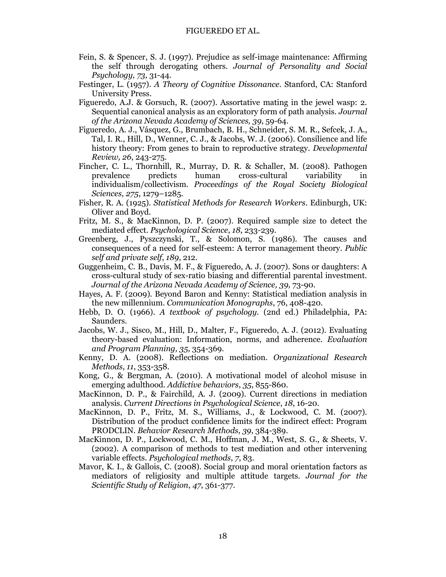- Fein, S. & Spencer, S. J. (1997). Prejudice as self-image maintenance: Affirming the self through derogating others. *Journal of Personality and Social Psychology, 73,* 31-44.
- Festinger, L. (1957). *A Theory of Cognitive Dissonance.* Stanford, CA: Stanford University Press.
- Figueredo, A.J. & Gorsuch, R. (2007). Assortative mating in the jewel wasp: 2. Sequential canonical analysis as an exploratory form of path analysis. *Journal of the Arizona Nevada Academy of Sciences, 39*, 59-64.
- Figueredo, A. J., Vásquez, G., Brumbach, B. H., Schneider, S. M. R., Sefcek, J. A., Tal, I. R., Hill, D., Wenner, C. J., & Jacobs, W. J. (2006). Consilience and life history theory: From genes to brain to reproductive strategy. *Developmental Review, 26*, 243-275.
- Fincher, C. L., Thornhill, R., Murray, D. R. & Schaller, M. (2008). Pathogen prevalence predicts human cross-cultural variability in individualism/collectivism. *Proceedings of the Royal Society Biological Sciences, 275*, 1279–1285.
- Fisher, R. A. (1925). *Statistical Methods for Research Workers*. Edinburgh, UK: Oliver and Boyd.
- Fritz, M. S., & MacKinnon, D. P. (2007). Required sample size to detect the mediated effect. *Psychological Science*, *18*, 233-239.
- Greenberg, J., Pyszczynski, T., & Solomon, S. (1986). The causes and consequences of a need for self-esteem: A terror management theory. *Public self and private self*, *189*, 212.
- Guggenheim, C. B., Davis, M. F., & Figueredo, A. J. (2007). Sons or daughters: A cross-cultural study of sex-ratio biasing and differential parental investment. *Journal of the Arizona Nevada Academy of Science, 39,* 73-90.
- Hayes, A. F. (2009). Beyond Baron and Kenny: Statistical mediation analysis in the new millennium. *Communication Monographs*, 76, 408-420.
- Hebb, D. O. (1966). *A textbook of psychology.* (2nd ed.) Philadelphia, PA: Saunders.
- Jacobs, W. J., Sisco, M., Hill, D., Malter, F., Figueredo, A. J. (2012). Evaluating theory-based evaluation: Information, norms, and adherence. *Evaluation and Program Planning, 35,* 354-369.
- Kenny, D. A. (2008). Reflections on mediation. *Organizational Research Methods*, *11*, 353-358.
- Kong, G., & Bergman, A. (2010). A motivational model of alcohol misuse in emerging adulthood. *Addictive behaviors*, *35*, 855-860.
- MacKinnon, D. P., & Fairchild, A. J. (2009). Current directions in mediation analysis. *Current Directions in Psychological Science*, *18*, 16-20.
- MacKinnon, D. P., Fritz, M. S., Williams, J., & Lockwood, C. M. (2007). Distribution of the product confidence limits for the indirect effect: Program PRODCLIN. *Behavior Research Methods*, *39*, 384-389.
- MacKinnon, D. P., Lockwood, C. M., Hoffman, J. M., West, S. G., & Sheets, V. (2002). A comparison of methods to test mediation and other intervening variable effects. *Psychological methods*, *7*, 83.
- Mavor, K. I., & Gallois, C. (2008). Social group and moral orientation factors as mediators of religiosity and multiple attitude targets. *Journal for the Scientific Study of Religion*, *47*, 361-377.